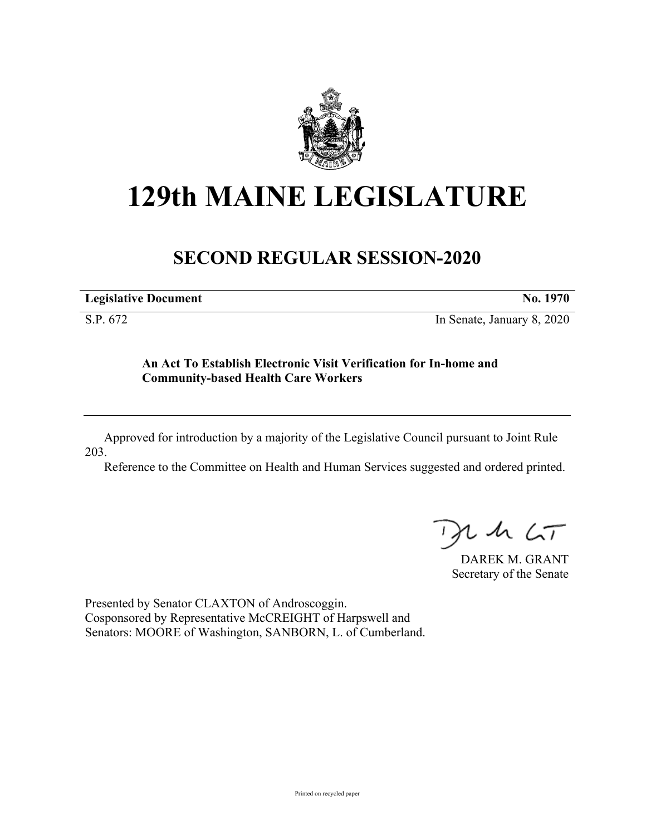

## **129th MAINE LEGISLATURE**

## **SECOND REGULAR SESSION-2020**

**Legislative Document No. 1970**

S.P. 672 In Senate, January 8, 2020

## **An Act To Establish Electronic Visit Verification for In-home and Community-based Health Care Workers**

Approved for introduction by a majority of the Legislative Council pursuant to Joint Rule 203.

Reference to the Committee on Health and Human Services suggested and ordered printed.

 $125$ 

DAREK M. GRANT Secretary of the Senate

Presented by Senator CLAXTON of Androscoggin. Cosponsored by Representative McCREIGHT of Harpswell and Senators: MOORE of Washington, SANBORN, L. of Cumberland.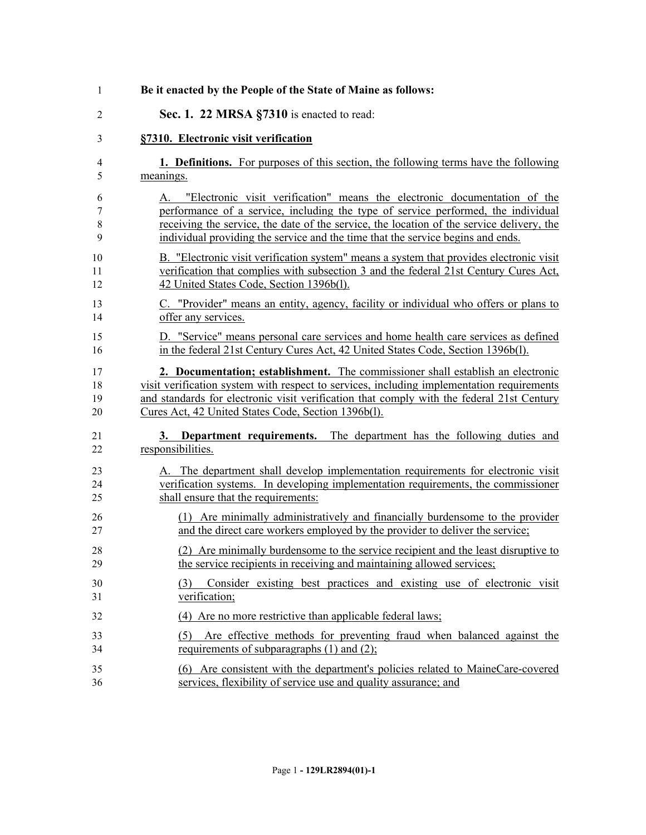| $\mathbf{1}$     | Be it enacted by the People of the State of Maine as follows:                                                                                                                                                                                                                                                                                        |
|------------------|------------------------------------------------------------------------------------------------------------------------------------------------------------------------------------------------------------------------------------------------------------------------------------------------------------------------------------------------------|
| $\overline{2}$   | Sec. 1. 22 MRSA §7310 is enacted to read:                                                                                                                                                                                                                                                                                                            |
| 3                | §7310. Electronic visit verification                                                                                                                                                                                                                                                                                                                 |
| 4                | 1. Definitions. For purposes of this section, the following terms have the following                                                                                                                                                                                                                                                                 |
| 5                | meanings.                                                                                                                                                                                                                                                                                                                                            |
| 6<br>7<br>8<br>9 | "Electronic visit verification" means the electronic documentation of the<br>A.<br>performance of a service, including the type of service performed, the individual<br>receiving the service, the date of the service, the location of the service delivery, the<br>individual providing the service and the time that the service begins and ends. |
| 10               | B. "Electronic visit verification system" means a system that provides electronic visit                                                                                                                                                                                                                                                              |
| 11               | verification that complies with subsection 3 and the federal 21st Century Cures Act,                                                                                                                                                                                                                                                                 |
| 12               | 42 United States Code, Section 1396b(l).                                                                                                                                                                                                                                                                                                             |
| 13               | C. "Provider" means an entity, agency, facility or individual who offers or plans to                                                                                                                                                                                                                                                                 |
| 14               | offer any services.                                                                                                                                                                                                                                                                                                                                  |
| 15               | D. "Service" means personal care services and home health care services as defined                                                                                                                                                                                                                                                                   |
| 16               | in the federal 21st Century Cures Act, 42 United States Code, Section 1396b(1).                                                                                                                                                                                                                                                                      |
| 17               | 2. Documentation; establishment. The commissioner shall establish an electronic                                                                                                                                                                                                                                                                      |
| 18               | visit verification system with respect to services, including implementation requirements                                                                                                                                                                                                                                                            |
| 19               | and standards for electronic visit verification that comply with the federal 21st Century                                                                                                                                                                                                                                                            |
| 20               | Cures Act, 42 United States Code, Section 1396b(l).                                                                                                                                                                                                                                                                                                  |
| 21               | 3. Department requirements. The department has the following duties and                                                                                                                                                                                                                                                                              |
| 22               | responsibilities.                                                                                                                                                                                                                                                                                                                                    |
| 23               | A. The department shall develop implementation requirements for electronic visit                                                                                                                                                                                                                                                                     |
| 24               | verification systems. In developing implementation requirements, the commissioner                                                                                                                                                                                                                                                                    |
| 25               | shall ensure that the requirements:                                                                                                                                                                                                                                                                                                                  |
| 26               | (1) Are minimally administratively and financially burdensome to the provider                                                                                                                                                                                                                                                                        |
| 27               | and the direct care workers employed by the provider to deliver the service;                                                                                                                                                                                                                                                                         |
| 28               | (2) Are minimally burdensome to the service recipient and the least disruptive to                                                                                                                                                                                                                                                                    |
| 29               | the service recipients in receiving and maintaining allowed services;                                                                                                                                                                                                                                                                                |
| 30<br>31         | Consider existing best practices and existing use of electronic visit<br>(3)<br>verification;                                                                                                                                                                                                                                                        |
| 32               | (4) Are no more restrictive than applicable federal laws;                                                                                                                                                                                                                                                                                            |
| 33<br>34         | Are effective methods for preventing fraud when balanced against the<br>(5)<br>requirements of subparagraphs $(1)$ and $(2)$ ;                                                                                                                                                                                                                       |
| 35               | (6) Are consistent with the department's policies related to MaineCare-covered                                                                                                                                                                                                                                                                       |
| 36               | services, flexibility of service use and quality assurance; and                                                                                                                                                                                                                                                                                      |